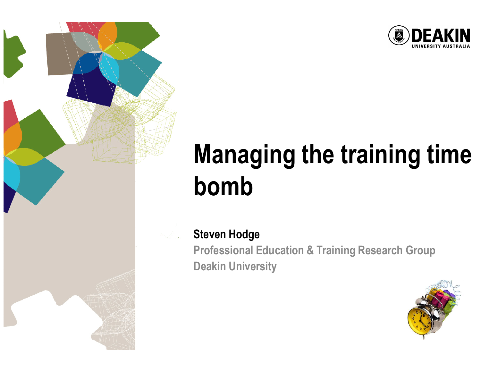

## Managing the training time bomb

#### Steven Hodge

 Professional Education & Training Research GroupDeakin University

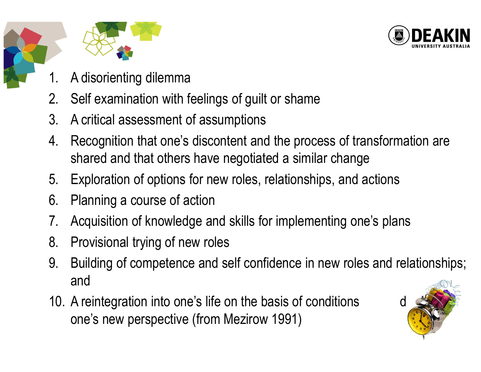





- 1. A disorienting dilemma
- 2. Self examination with feelings of guilt or shame
- 3. A critical assessment of assumptions
- 4. Recognition that one's discontent and the process of transformation are shared and that others have negotiated a similar change
- 5.Exploration of options for new roles, relationships, and actions
- 6. Planning a course of action
- 7. Acquisition of knowledge and skills for implementing one's plans
- 8. Provisional trying of new roles
- 9. Building of competence and self confidence in new roles and relationships; and
- 10. A reintegration into one's life on the basis of conditions one's new perspective (from Mezirow 1991)

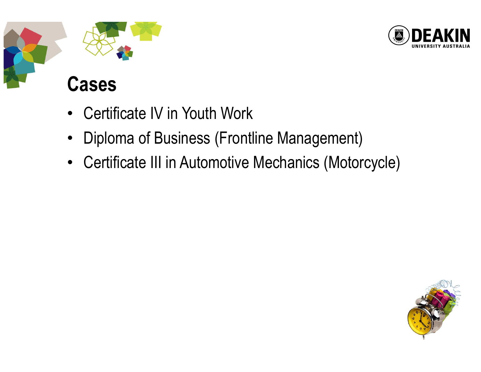

# Cases

- $\bullet$ Certificate IV in Youth Work
- $\bullet$ Diploma of Business (Frontline Management)
- $\bullet$ Certificate III in Automotive Mechanics (Motorcycle)

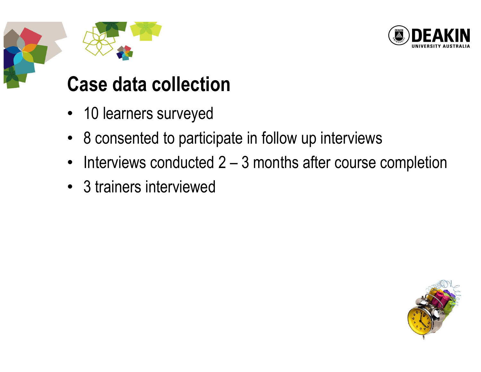



#### Case data collection

- 10 learners surveyed
- 8 consented to participate in follow up interviews
- $\bullet$ Interviews conducted 2 – 3 months after course completion
- 3 trainers interviewed

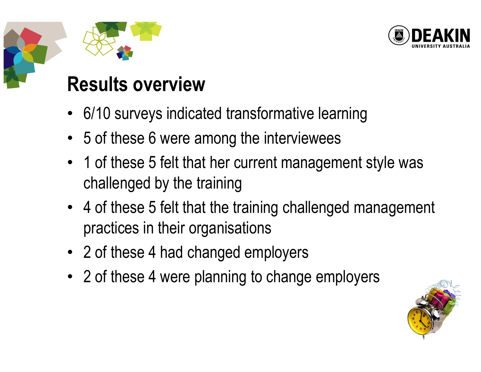

#### Results overview

- 6/10 surveys indicated transformative learning
- 5 of these 6 were among the interviewees
- 1 of these 5 felt that her current management style was challenged by the training
- 4 of these 5 felt that the training challenged management practices in their organisations
- 2 of these 4 had changed employers
- 2 of these 4 were planning to change employers

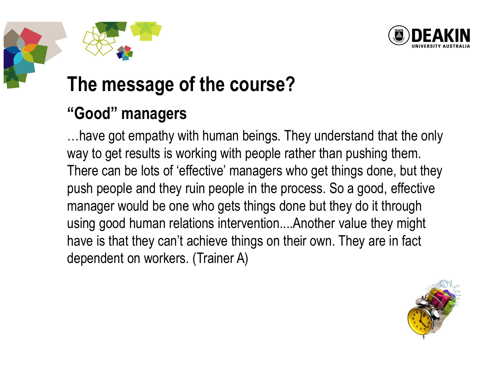

#### The message of the course?

#### "Good" managers

…have got empathy with human beings. They understand that the only way to get results is working with people rather than pushing them. There can be lots of 'effective' managers who get things done, but they push people and they ruin people in the process. So a good, effective manager would be one who gets things done but they do it through using good human relations intervention....Another value they might have is that they can't achieve things on their own. They are in fact dependent on workers. (Trainer A)

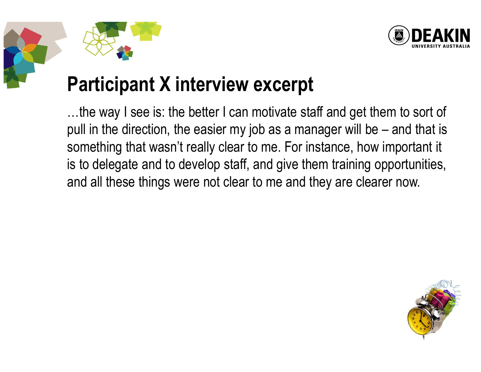



#### Participant X interview excerpt

…the way I see is: the better I can motivate staff and get them to sort of pull in the direction, the easier my job as a manager will be – and that is something that wasn't really clear to me. For instance, how important it is to delegate and to develop staff, and give them training opportunities, and all these things were not clear to me and they are clearer now.

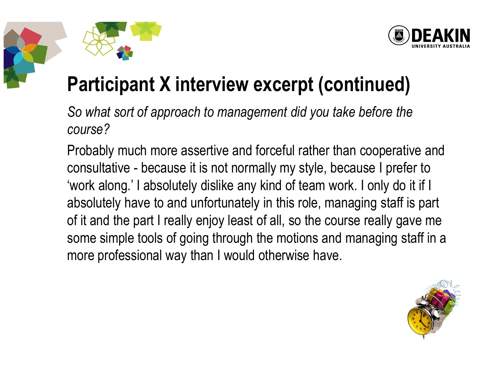



### Participant X interview excerpt (continued)

So what sort of approach to management did you take before the course?

Probably much more assertive and forceful rather than cooperative and consultative - because it is not normally my style, because I prefer to 'work along.' I absolutely dislike any kind of team work. I only do it if I absolutely have to and unfortunately in this role, managing staff is part of it and the part I really enjoy least of all, so the course really gave me some simple tools of going through the motions and managing staff in a more professional way than I would otherwise have.

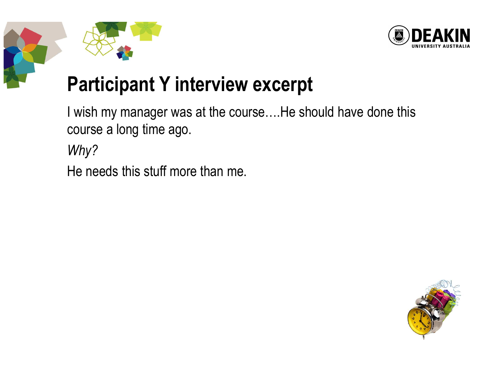



### Participant Y interview excerpt

I wish my manager was at the course….He should have done this course a long time ago.

Why?

He needs this stuff more than me.

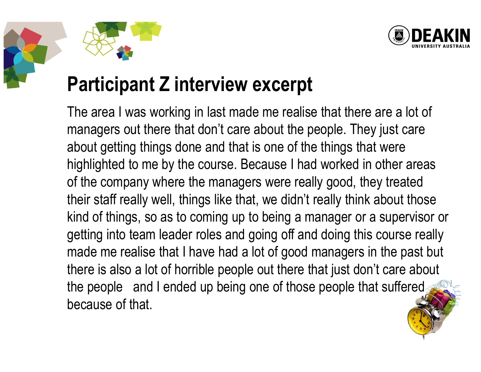



#### Participant Z interview excerpt

The area I was working in last made me realise that there are a lot of managers out there that don't care about the people. They just care about getting things done and that is one of the things that were highlighted to me by the course. Because I had worked in other areas of the company where the managers were really good, they treated their staff really well, things like that, we didn't really think about those kind of things, so as to coming up to being a manager or a supervisor or getting into team leader roles and going off and doing this course really made me realise that I have had a lot of good managers in the past but there is also a lot of horrible people out there that just don't care about the people and I ended up being one of those people that suffered because of that.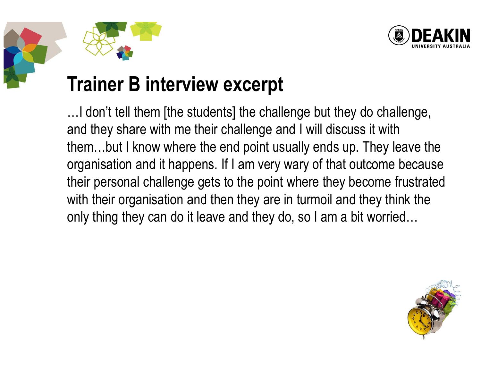



#### Trainer B interview excerpt

…I don't tell them [the students] the challenge but they do challenge, and they share with me their challenge and I will discuss it with them…but I know where the end point usually ends up. They leave the organisation and it happens. If I am very wary of that outcome because their personal challenge gets to the point where they become frustrated with their organisation and then they are in turmoil and they think the only thing they can do it leave and they do, so I am a bit worried…

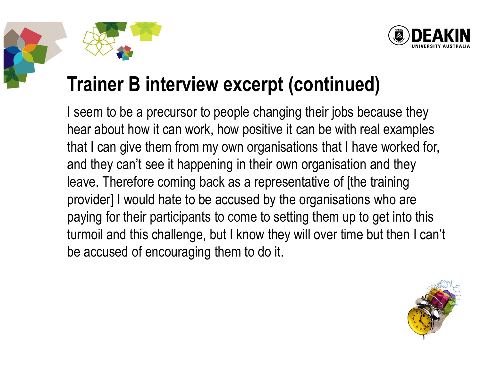



#### Trainer B interview excerpt (continued)

I seem to be a precursor to people changing their jobs because they hear about how it can work, how positive it can be with real examples that I can give them from my own organisations that I have worked for, and they can't see it happening in their own organisation and they leave. Therefore coming back as a representative of [the training provider] I would hate to be accused by the organisations who are paying for their participants to come to setting them up to get into this turmoil and this challenge, but I know they will over time but then I can't be accused of encouraging them to do it.